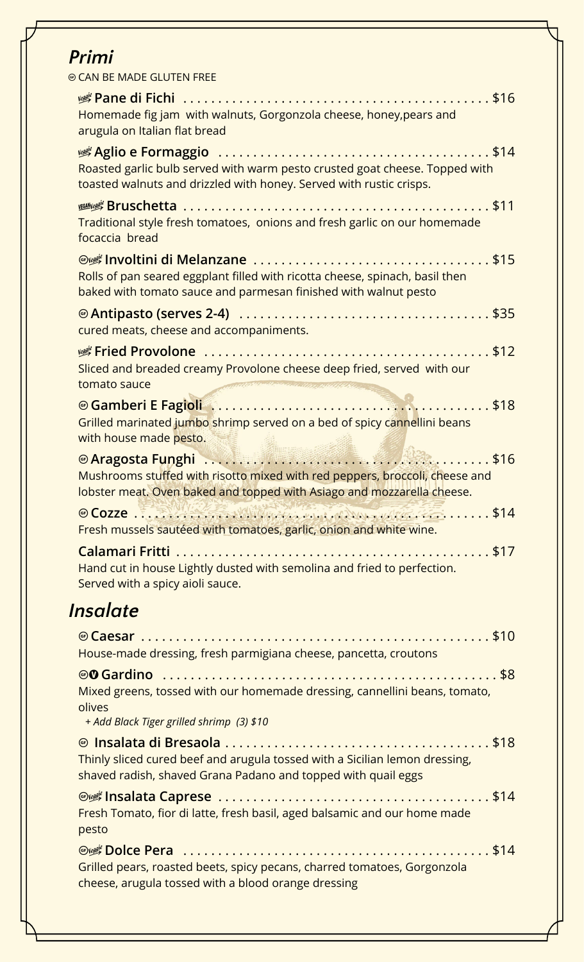## Primi

© CAN BE MADE GLUTEN FREE

| Homemade fig jam with walnuts, Gorgonzola cheese, honey, pears and<br>arugula on Italian flat bread                                                                                                                                                                    |  |
|------------------------------------------------------------------------------------------------------------------------------------------------------------------------------------------------------------------------------------------------------------------------|--|
| Roasted garlic bulb served with warm pesto crusted goat cheese. Topped with<br>toasted walnuts and drizzled with honey. Served with rustic crisps.                                                                                                                     |  |
| Traditional style fresh tomatoes, onions and fresh garlic on our homemade<br>focaccia bread                                                                                                                                                                            |  |
| Rolls of pan seared eggplant filled with ricotta cheese, spinach, basil then<br>baked with tomato sauce and parmesan finished with walnut pesto                                                                                                                        |  |
| cured meats, cheese and accompaniments.                                                                                                                                                                                                                                |  |
| Sliced and breaded creamy Provolone cheese deep fried, served with our<br>tomato sauce<br>Antiborum and antipolitically the                                                                                                                                            |  |
| Gamberi E Fagioli (1999) (1999) (1999) (1999) (1999) (1999) (1999) (1999) (1999) (1999) (1999) (1999) (1999) (<br>Grilled marinated jumbo shrimp served on a bed of spicy cannellini beans<br>with house made pesto.                                                   |  |
| Caragosta Funghi (1999) 2003 - 1999 - 1999 - 1999 - 1999 - 1999 - 1999 - 1999 - 1999 - 1999 - 1999 - 1999 - 1<br>Mushrooms stuffed with risotto mixed with red peppers, broccoli, cheese and<br>lobster meat. Oven baked and topped with Asiago and mozzarella cheese. |  |
| Fresh mussels sautéed with tomatoes, garlic, onion and white wine.                                                                                                                                                                                                     |  |
| Hand cut in house Lightly dusted with semolina and fried to perfection.<br>Served with a spicy aioli sauce.                                                                                                                                                            |  |
| Insalate                                                                                                                                                                                                                                                               |  |
| House-made dressing, fresh parmigiana cheese, pancetta, croutons                                                                                                                                                                                                       |  |
| Mixed greens, tossed with our homemade dressing, cannellini beans, tomato,<br>olives<br>+ Add Black Tiger grilled shrimp (3) \$10                                                                                                                                      |  |

Thinly sliced cured beef and arugula tossed with a Sicilian lemon dressing, shaved radish, shaved Grana Padano and topped with quail eggs

Fresh Tomato, fior di latte, fresh basil, aged balsamic and our home made pesto

Grilled pears, roasted beets, spicy pecans, charred tomatoes, Gorgonzola cheese, arugula tossed with a blood orange dressing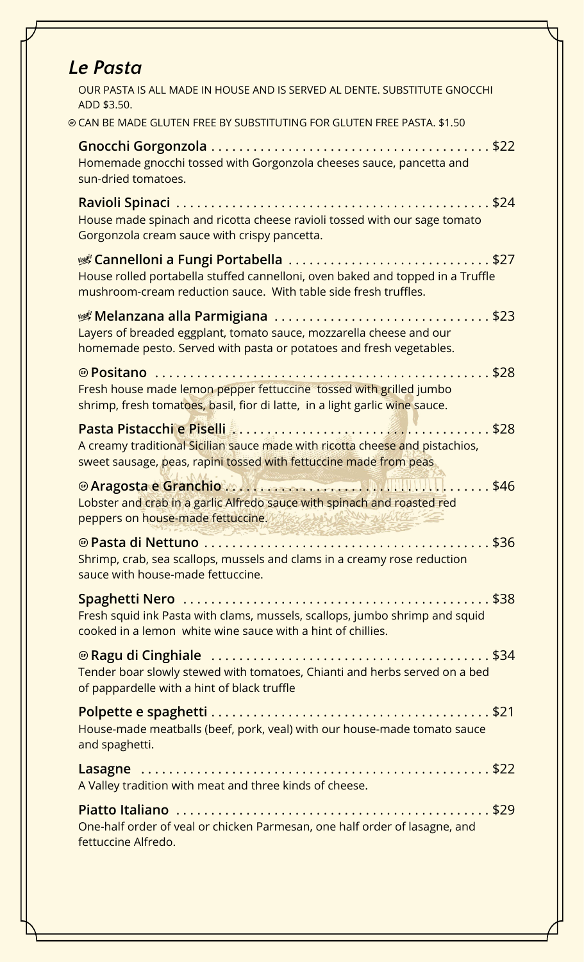| <b>Le Pasta</b>                                                                                                                                                                                                                                                                                                                                                                                   |
|---------------------------------------------------------------------------------------------------------------------------------------------------------------------------------------------------------------------------------------------------------------------------------------------------------------------------------------------------------------------------------------------------|
| OUR PASTA IS ALL MADE IN HOUSE AND IS SERVED AL DENTE. SUBSTITUTE GNOCCHI<br>ADD \$3.50.                                                                                                                                                                                                                                                                                                          |
| @ CAN BE MADE GLUTEN FREE BY SUBSTITUTING FOR GLUTEN FREE PASTA. \$1.50                                                                                                                                                                                                                                                                                                                           |
| Homemade gnocchi tossed with Gorgonzola cheeses sauce, pancetta and<br>sun-dried tomatoes.                                                                                                                                                                                                                                                                                                        |
| House made spinach and ricotta cheese ravioli tossed with our sage tomato<br>Gorgonzola cream sauce with crispy pancetta.                                                                                                                                                                                                                                                                         |
| House rolled portabella stuffed cannelloni, oven baked and topped in a Truffle<br>mushroom-cream reduction sauce. With table side fresh truffles.                                                                                                                                                                                                                                                 |
| Layers of breaded eggplant, tomato sauce, mozzarella cheese and our<br>homemade pesto. Served with pasta or potatoes and fresh vegetables.                                                                                                                                                                                                                                                        |
| Fresh house made lemon pepper fettuccine tossed with grilled jumbo<br>shrimp, fresh tomatoes, basil, fior di latte, in a light garlic wine sauce.                                                                                                                                                                                                                                                 |
| A creamy traditional Sicilian sauce made with ricotta cheese and pistachios,<br>sweet sausage, peas, rapini tossed with fettuccine made from peas                                                                                                                                                                                                                                                 |
| and the contract of the contract of the contract of the contract of the contract of the contract of the contract of the contract of the contract of the contract of the contract of the contract of the contract of the contra<br>Lobster and crab in a garlic Alfredo sauce with spinach and roasted red<br>peppers on house-made fettuccine. We will be a width to the<br>- 243 275 275 BARBARY |
| Shrimp, crab, sea scallops, mussels and clams in a creamy rose reduction<br>sauce with house-made fettuccine.                                                                                                                                                                                                                                                                                     |
| Fresh squid ink Pasta with clams, mussels, scallops, jumbo shrimp and squid<br>cooked in a lemon white wine sauce with a hint of chillies.                                                                                                                                                                                                                                                        |
| Tender boar slowly stewed with tomatoes, Chianti and herbs served on a bed<br>of pappardelle with a hint of black truffle                                                                                                                                                                                                                                                                         |
| House-made meatballs (beef, pork, veal) with our house-made tomato sauce<br>and spaghetti.                                                                                                                                                                                                                                                                                                        |
| A Valley tradition with meat and three kinds of cheese.                                                                                                                                                                                                                                                                                                                                           |
| One-half order of veal or chicken Parmesan, one half order of lasagne, and<br>fettuccine Alfredo.                                                                                                                                                                                                                                                                                                 |